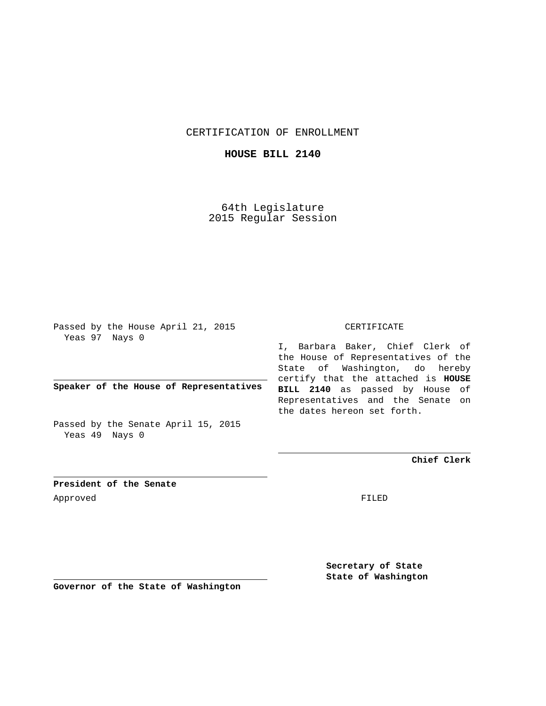CERTIFICATION OF ENROLLMENT

**HOUSE BILL 2140**

64th Legislature 2015 Regular Session

Passed by the House April 21, 2015 Yeas 97 Nays 0

**Speaker of the House of Representatives**

Passed by the Senate April 15, 2015 Yeas 49 Nays 0

## CERTIFICATE

I, Barbara Baker, Chief Clerk of the House of Representatives of the State of Washington, do hereby certify that the attached is **HOUSE BILL 2140** as passed by House of Representatives and the Senate on the dates hereon set forth.

**Chief Clerk**

**President of the Senate** Approved FILED

**Secretary of State State of Washington**

**Governor of the State of Washington**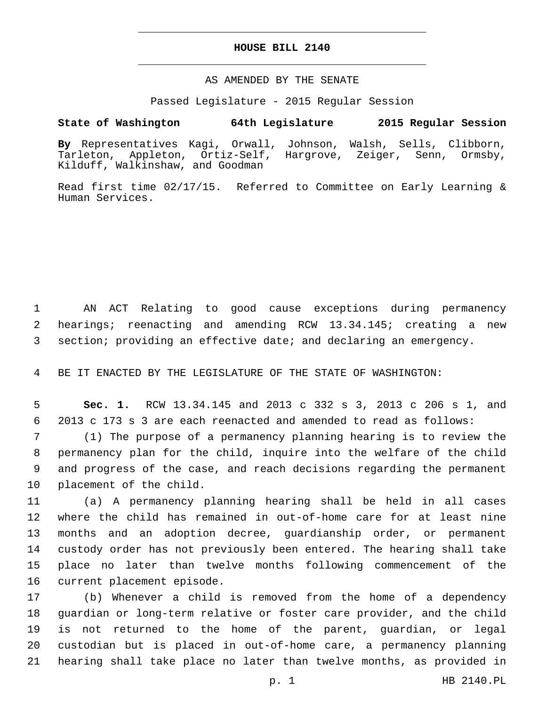## **HOUSE BILL 2140**

## AS AMENDED BY THE SENATE

Passed Legislature - 2015 Regular Session

## **State of Washington 64th Legislature 2015 Regular Session**

**By** Representatives Kagi, Orwall, Johnson, Walsh, Sells, Clibborn, Tarleton, Appleton, Ortiz-Self, Hargrove, Zeiger, Senn, Ormsby, Kilduff, Walkinshaw, and Goodman

Read first time 02/17/15. Referred to Committee on Early Learning & Human Services.

 AN ACT Relating to good cause exceptions during permanency hearings; reenacting and amending RCW 13.34.145; creating a new section; providing an effective date; and declaring an emergency.

BE IT ENACTED BY THE LEGISLATURE OF THE STATE OF WASHINGTON:

 **Sec. 1.** RCW 13.34.145 and 2013 c 332 s 3, 2013 c 206 s 1, and 2013 c 173 s 3 are each reenacted and amended to read as follows:

 (1) The purpose of a permanency planning hearing is to review the permanency plan for the child, inquire into the welfare of the child and progress of the case, and reach decisions regarding the permanent 10 placement of the child.

 (a) A permanency planning hearing shall be held in all cases where the child has remained in out-of-home care for at least nine months and an adoption decree, guardianship order, or permanent custody order has not previously been entered. The hearing shall take place no later than twelve months following commencement of the 16 current placement episode.

 (b) Whenever a child is removed from the home of a dependency guardian or long-term relative or foster care provider, and the child is not returned to the home of the parent, guardian, or legal custodian but is placed in out-of-home care, a permanency planning hearing shall take place no later than twelve months, as provided in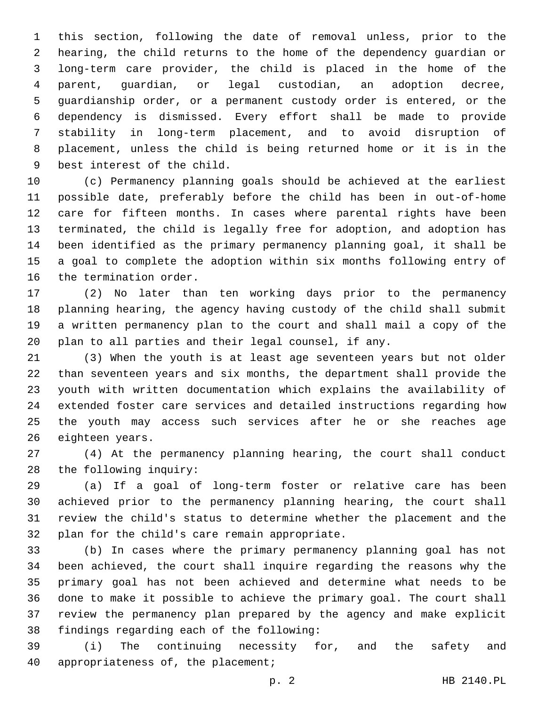this section, following the date of removal unless, prior to the hearing, the child returns to the home of the dependency guardian or long-term care provider, the child is placed in the home of the parent, guardian, or legal custodian, an adoption decree, guardianship order, or a permanent custody order is entered, or the dependency is dismissed. Every effort shall be made to provide stability in long-term placement, and to avoid disruption of placement, unless the child is being returned home or it is in the 9 best interest of the child.

 (c) Permanency planning goals should be achieved at the earliest possible date, preferably before the child has been in out-of-home care for fifteen months. In cases where parental rights have been terminated, the child is legally free for adoption, and adoption has been identified as the primary permanency planning goal, it shall be a goal to complete the adoption within six months following entry of 16 the termination order.

 (2) No later than ten working days prior to the permanency planning hearing, the agency having custody of the child shall submit a written permanency plan to the court and shall mail a copy of the plan to all parties and their legal counsel, if any.

 (3) When the youth is at least age seventeen years but not older than seventeen years and six months, the department shall provide the youth with written documentation which explains the availability of extended foster care services and detailed instructions regarding how the youth may access such services after he or she reaches age 26 eighteen years.

 (4) At the permanency planning hearing, the court shall conduct 28 the following inquiry:

 (a) If a goal of long-term foster or relative care has been achieved prior to the permanency planning hearing, the court shall review the child's status to determine whether the placement and the 32 plan for the child's care remain appropriate.

 (b) In cases where the primary permanency planning goal has not been achieved, the court shall inquire regarding the reasons why the primary goal has not been achieved and determine what needs to be done to make it possible to achieve the primary goal. The court shall review the permanency plan prepared by the agency and make explicit 38 findings regarding each of the following:

 (i) The continuing necessity for, and the safety and 40 appropriateness of, the placement;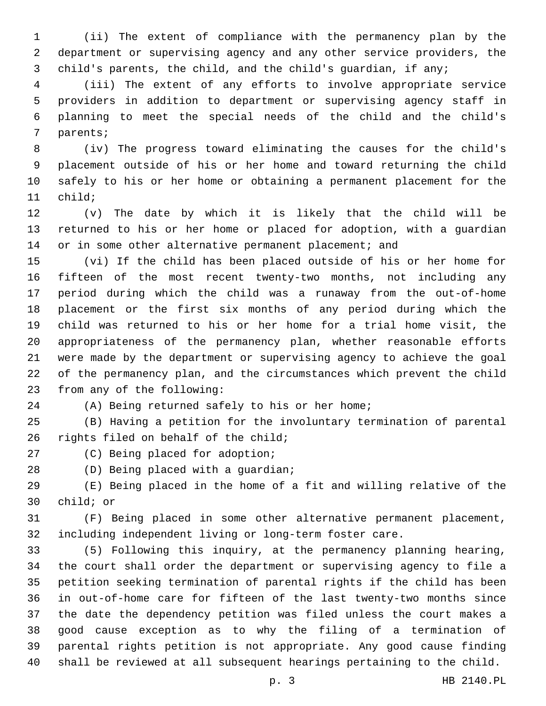(ii) The extent of compliance with the permanency plan by the department or supervising agency and any other service providers, the child's parents, the child, and the child's guardian, if any;

 (iii) The extent of any efforts to involve appropriate service providers in addition to department or supervising agency staff in planning to meet the special needs of the child and the child's 7 parents;

 (iv) The progress toward eliminating the causes for the child's placement outside of his or her home and toward returning the child safely to his or her home or obtaining a permanent placement for the 11 child;

 (v) The date by which it is likely that the child will be returned to his or her home or placed for adoption, with a guardian 14 or in some other alternative permanent placement; and

 (vi) If the child has been placed outside of his or her home for fifteen of the most recent twenty-two months, not including any period during which the child was a runaway from the out-of-home placement or the first six months of any period during which the child was returned to his or her home for a trial home visit, the appropriateness of the permanency plan, whether reasonable efforts were made by the department or supervising agency to achieve the goal of the permanency plan, and the circumstances which prevent the child 23 from any of the following:

(A) Being returned safely to his or her home;

 (B) Having a petition for the involuntary termination of parental 26 rights filed on behalf of the child;

27 (C) Being placed for adoption;

28 (D) Being placed with a guardian;

 (E) Being placed in the home of a fit and willing relative of the 30 child; or

 (F) Being placed in some other alternative permanent placement, including independent living or long-term foster care.

 (5) Following this inquiry, at the permanency planning hearing, the court shall order the department or supervising agency to file a petition seeking termination of parental rights if the child has been in out-of-home care for fifteen of the last twenty-two months since the date the dependency petition was filed unless the court makes a good cause exception as to why the filing of a termination of parental rights petition is not appropriate. Any good cause finding shall be reviewed at all subsequent hearings pertaining to the child.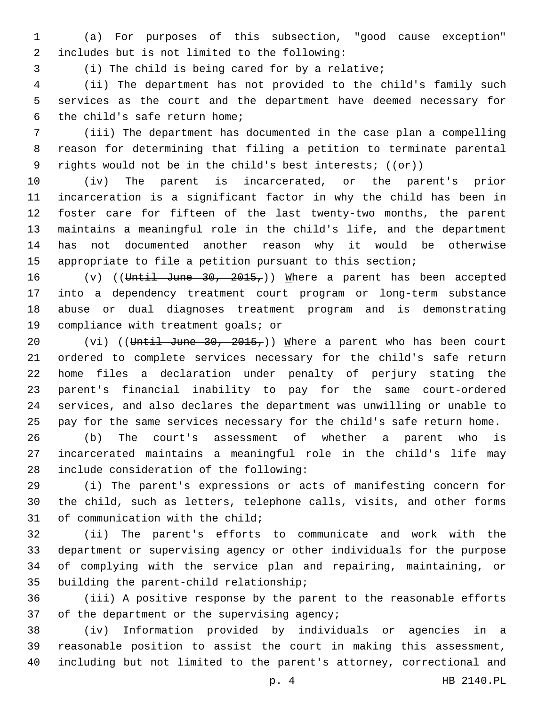(a) For purposes of this subsection, "good cause exception" includes but is not limited to the following:2

(i) The child is being cared for by a relative;

 (ii) The department has not provided to the child's family such services as the court and the department have deemed necessary for 6 the child's safe return home;

 (iii) The department has documented in the case plan a compelling reason for determining that filing a petition to terminate parental 9 rights would not be in the child's best interests;  $((\theta \hat{r}))$ 

 (iv) The parent is incarcerated, or the parent's prior incarceration is a significant factor in why the child has been in foster care for fifteen of the last twenty-two months, the parent maintains a meaningful role in the child's life, and the department has not documented another reason why it would be otherwise appropriate to file a petition pursuant to this section;

 $(v)$  ((Until June 30, 2015,)) Where a parent has been accepted into a dependency treatment court program or long-term substance abuse or dual diagnoses treatment program and is demonstrating 19 compliance with treatment goals; or

20 (vi) ((Until June 30, 2015,)) Where a parent who has been court ordered to complete services necessary for the child's safe return home files a declaration under penalty of perjury stating the parent's financial inability to pay for the same court-ordered services, and also declares the department was unwilling or unable to pay for the same services necessary for the child's safe return home.

 (b) The court's assessment of whether a parent who is incarcerated maintains a meaningful role in the child's life may 28 include consideration of the following:

 (i) The parent's expressions or acts of manifesting concern for the child, such as letters, telephone calls, visits, and other forms 31 of communication with the child;

 (ii) The parent's efforts to communicate and work with the department or supervising agency or other individuals for the purpose of complying with the service plan and repairing, maintaining, or 35 building the parent-child relationship;

 (iii) A positive response by the parent to the reasonable efforts 37 of the department or the supervising agency;

 (iv) Information provided by individuals or agencies in a reasonable position to assist the court in making this assessment, including but not limited to the parent's attorney, correctional and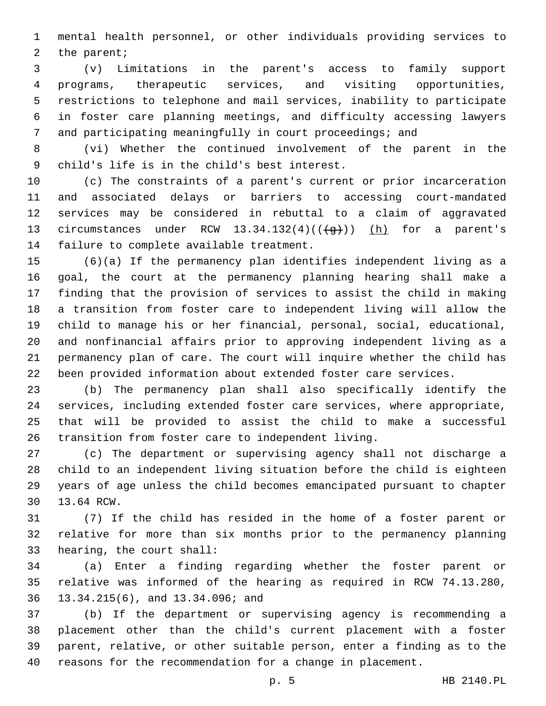mental health personnel, or other individuals providing services to 2 the parent;

 (v) Limitations in the parent's access to family support programs, therapeutic services, and visiting opportunities, restrictions to telephone and mail services, inability to participate in foster care planning meetings, and difficulty accessing lawyers and participating meaningfully in court proceedings; and

 (vi) Whether the continued involvement of the parent in the child's life is in the child's best interest.9

 (c) The constraints of a parent's current or prior incarceration and associated delays or barriers to accessing court-mandated services may be considered in rebuttal to a claim of aggravated 13 circumstances under RCW  $13.34.132(4)((\frac{1}{9}))$  (h) for a parent's 14 failure to complete available treatment.

 (6)(a) If the permanency plan identifies independent living as a goal, the court at the permanency planning hearing shall make a finding that the provision of services to assist the child in making a transition from foster care to independent living will allow the child to manage his or her financial, personal, social, educational, and nonfinancial affairs prior to approving independent living as a permanency plan of care. The court will inquire whether the child has been provided information about extended foster care services.

 (b) The permanency plan shall also specifically identify the services, including extended foster care services, where appropriate, that will be provided to assist the child to make a successful transition from foster care to independent living.

 (c) The department or supervising agency shall not discharge a child to an independent living situation before the child is eighteen years of age unless the child becomes emancipated pursuant to chapter 30 13.64 RCW.

 (7) If the child has resided in the home of a foster parent or relative for more than six months prior to the permanency planning 33 hearing, the court shall:

 (a) Enter a finding regarding whether the foster parent or relative was informed of the hearing as required in RCW 74.13.280, 13.34.215(6), and 13.34.096; and36

 (b) If the department or supervising agency is recommending a placement other than the child's current placement with a foster parent, relative, or other suitable person, enter a finding as to the reasons for the recommendation for a change in placement.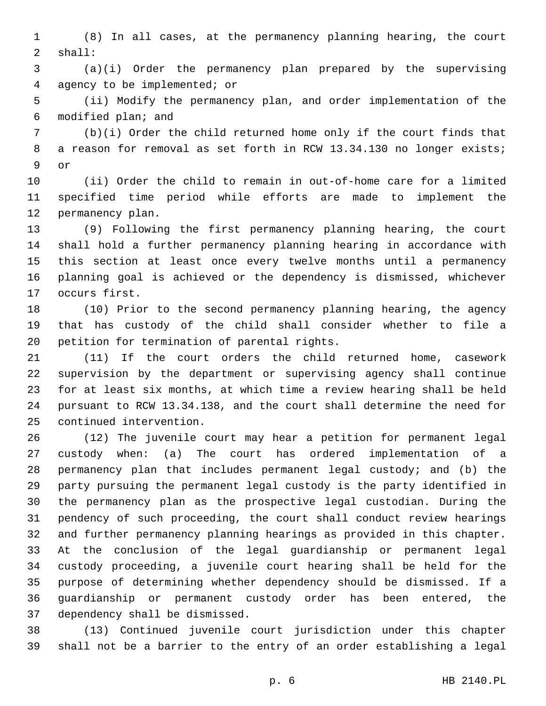(8) In all cases, at the permanency planning hearing, the court shall:2

 (a)(i) Order the permanency plan prepared by the supervising agency to be implemented; or4

 (ii) Modify the permanency plan, and order implementation of the 6 modified plan; and

 (b)(i) Order the child returned home only if the court finds that 8 a reason for removal as set forth in RCW 13.34.130 no longer exists; 9 or

 (ii) Order the child to remain in out-of-home care for a limited specified time period while efforts are made to implement the 12 permanency plan.

 (9) Following the first permanency planning hearing, the court shall hold a further permanency planning hearing in accordance with this section at least once every twelve months until a permanency planning goal is achieved or the dependency is dismissed, whichever 17 occurs first.

 (10) Prior to the second permanency planning hearing, the agency that has custody of the child shall consider whether to file a 20 petition for termination of parental rights.

 (11) If the court orders the child returned home, casework supervision by the department or supervising agency shall continue for at least six months, at which time a review hearing shall be held pursuant to RCW 13.34.138, and the court shall determine the need for 25 continued intervention.

 (12) The juvenile court may hear a petition for permanent legal custody when: (a) The court has ordered implementation of a permanency plan that includes permanent legal custody; and (b) the party pursuing the permanent legal custody is the party identified in the permanency plan as the prospective legal custodian. During the pendency of such proceeding, the court shall conduct review hearings and further permanency planning hearings as provided in this chapter. At the conclusion of the legal guardianship or permanent legal custody proceeding, a juvenile court hearing shall be held for the purpose of determining whether dependency should be dismissed. If a guardianship or permanent custody order has been entered, the 37 dependency shall be dismissed.

 (13) Continued juvenile court jurisdiction under this chapter shall not be a barrier to the entry of an order establishing a legal